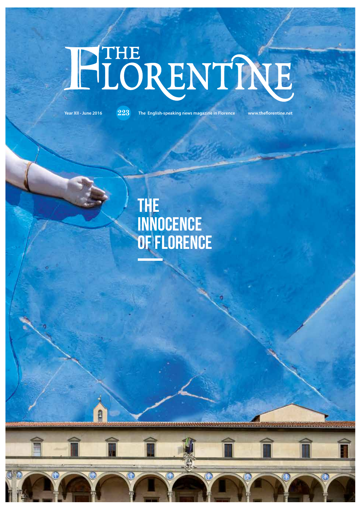# HEORENTINE

A

**Year XII - June 2016 223 The English-speaking news magazine in Florence www.theforentine.net**

## The innocence of florence